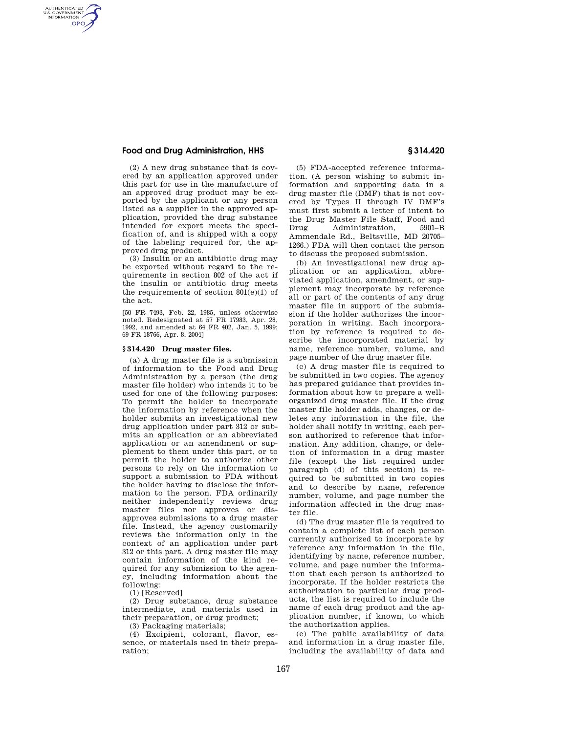## **Food and Drug Administration, HHS § 314.420**

AUTHENTICATED<br>U.S. GOVERNMENT<br>INFORMATION **GPO** 

> (2) A new drug substance that is covered by an application approved under this part for use in the manufacture of an approved drug product may be exported by the applicant or any person listed as a supplier in the approved application, provided the drug substance intended for export meets the specification of, and is shipped with a copy of the labeling required for, the approved drug product.

> (3) Insulin or an antibiotic drug may be exported without regard to the requirements in section 802 of the act if the insulin or antibiotic drug meets the requirements of section  $801(e)(1)$  of the act.

> [50 FR 7493, Feb. 22, 1985, unless otherwise noted. Redesignated at 57 FR 17983, Apr. 28, 1992, and amended at 64 FR 402, Jan. 5, 1999; 69 FR 18766, Apr. 8, 2004]

## **§ 314.420 Drug master files.**

(a) A drug master file is a submission of information to the Food and Drug Administration by a person (the drug master file holder) who intends it to be used for one of the following purposes: To permit the holder to incorporate the information by reference when the holder submits an investigational new drug application under part 312 or submits an application or an abbreviated application or an amendment or supplement to them under this part, or to permit the holder to authorize other persons to rely on the information to support a submission to FDA without the holder having to disclose the information to the person. FDA ordinarily neither independently reviews drug master files nor approves or disapproves submissions to a drug master file. Instead, the agency customarily reviews the information only in the context of an application under part 312 or this part. A drug master file may contain information of the kind required for any submission to the agency, including information about the following:

(1) [Reserved]

(2) Drug substance, drug substance intermediate, and materials used in their preparation, or drug product;

(3) Packaging materials;

(4) Excipient, colorant, flavor, essence, or materials used in their preparation;

(5) FDA-accepted reference information. (A person wishing to submit information and supporting data in a drug master file (DMF) that is not covered by Types II through IV DMF's must first submit a letter of intent to the Drug Master File Staff, Food and Drug Administration, 5901–B Ammendale Rd., Beltsville, MD 20705– 1266.) FDA will then contact the person to discuss the proposed submission.

(b) An investigational new drug application or an application, abbreviated application, amendment, or supplement may incorporate by reference all or part of the contents of any drug master file in support of the submission if the holder authorizes the incorporation in writing. Each incorporation by reference is required to describe the incorporated material by name, reference number, volume, and page number of the drug master file.

(c) A drug master file is required to be submitted in two copies. The agency has prepared guidance that provides information about how to prepare a wellorganized drug master file. If the drug master file holder adds, changes, or deletes any information in the file, the holder shall notify in writing, each person authorized to reference that information. Any addition, change, or deletion of information in a drug master file (except the list required under paragraph (d) of this section) is required to be submitted in two copies and to describe by name, reference number, volume, and page number the information affected in the drug master file.

(d) The drug master file is required to contain a complete list of each person currently authorized to incorporate by reference any information in the file, identifying by name, reference number, volume, and page number the information that each person is authorized to incorporate. If the holder restricts the authorization to particular drug products, the list is required to include the name of each drug product and the application number, if known, to which the authorization applies.

(e) The public availability of data and information in a drug master file, including the availability of data and